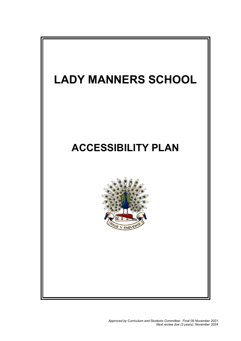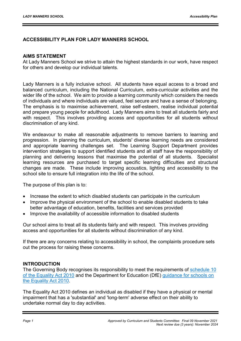## ACCESSIBILITY PLAN FOR LADY MANNERS SCHOOL

## AIMS STATEMENT

At Lady Manners School we strive to attain the highest standards in our work, have respect for others and develop our individual talents.

Lady Manners is a fully inclusive school. All students have equal access to a broad and balanced curriculum, including the National Curriculum, extra-curricular activities and the wider life of the school. We aim to provide a learning community which considers the needs of individuals and where individuals are valued, feel secure and have a sense of belonging. The emphasis is to maximise achievement, raise self-esteem, realise individual potential and prepare young people for adulthood. Lady Manners aims to treat all students fairly and with respect. This involves providing access and opportunities for all students without discrimination of any kind.

We endeavour to make all reasonable adjustments to remove barriers to learning and progression. In planning the curriculum, students' diverse learning needs are considered and appropriate learning challenges set. The Learning Support Department provides intervention strategies to support identified students and all staff have the responsibility of planning and delivering lessons that maximise the potential of all students. Specialist learning resources are purchased to target specific learning difficulties and structural changes are made. These include improving acoustics, lighting and accessibility to the school site to ensure full integration into the life of the school.

The purpose of this plan is to:

- Increase the extent to which disabled students can participate in the curriculum
- Improve the physical environment of the school to enable disabled students to take better advantage of education, benefits, facilities and services provided
- Improve the availability of accessible information to disabled students

Our school aims to treat all its students fairly and with respect. This involves providing access and opportunities for all students without discrimination of any kind.

If there are any concerns relating to accessibility in school, the complaints procedure sets out the process for raising these concerns.

## INTRODUCTION

The Governing Body recognises its responsibility to meet the requirements of schedule 10 of the Equality Act 2010 and the Department for Education (DfE) guidance for schools on the Equality Act 2010.

The Equality Act 2010 defines an individual as disabled if they have a physical or mental impairment that has a 'substantial' and 'long-term' adverse effect on their ability to undertake normal day to day activities.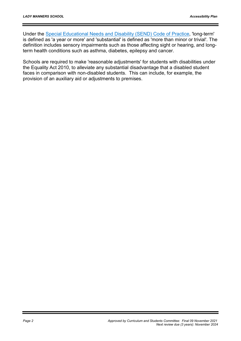Under the Special Educational Needs and Disability (SEND) Code of Practice, 'long-term' is defined as 'a year or more' and 'substantial' is defined as 'more than minor or trivial'. The definition includes sensory impairments such as those affecting sight or hearing, and longterm health conditions such as asthma, diabetes, epilepsy and cancer.

Schools are required to make 'reasonable adjustments' for students with disabilities under the Equality Act 2010, to alleviate any substantial disadvantage that a disabled student faces in comparison with non-disabled students. This can include, for example, the provision of an auxiliary aid or adjustments to premises.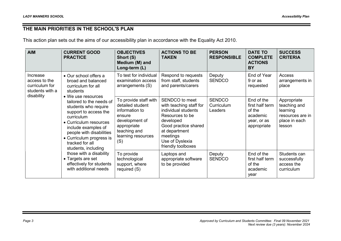## THE MAIN PRIORITIES IN THE SCHOOL'S PLAN

This action plan sets out the aims of our accessibility plan in accordance with the Equality Act 2010.

| <b>AIM</b>                                                                                        | <b>CURRENT GOOD</b><br><b>PRACTICE</b>                                                                                                                                                                                                     | <b>OBJECTIVES</b><br>Short (S)<br>Medium (M) and<br>Long-term (L)                                                                                   | <b>ACTIONS TO BE</b><br><b>TAKEN</b>                                                                                                                                                           | <b>PERSON</b><br><b>RESPONSIBLE</b>                         | <b>DATE TO</b><br><b>COMPLETE</b><br><b>ACTIONS</b><br><b>BY</b>                  | <b>SUCCESS</b><br><b>CRITERIA</b>                                                      |
|---------------------------------------------------------------------------------------------------|--------------------------------------------------------------------------------------------------------------------------------------------------------------------------------------------------------------------------------------------|-----------------------------------------------------------------------------------------------------------------------------------------------------|------------------------------------------------------------------------------------------------------------------------------------------------------------------------------------------------|-------------------------------------------------------------|-----------------------------------------------------------------------------------|----------------------------------------------------------------------------------------|
| Increase<br>access to the<br>curriculum for<br>students with a                                    | • Our school offers a<br>broad and balanced<br>curriculum for all<br>students<br>• We use resources                                                                                                                                        | To test for individual<br>examination access<br>arrangements (S)                                                                                    | Respond to requests<br>from staff, students<br>and parents/carers                                                                                                                              | Deputy<br><b>SENDCO</b>                                     | End of Year<br>9 or as<br>requested                                               | Access<br>arrangements in<br>place                                                     |
| disability                                                                                        | tailored to the needs of<br>students who require<br>support to access the<br>curriculum<br>• Curriculum resources<br>include examples of<br>people with disabilities<br>• Curriculum progress is<br>tracked for all<br>students, including | To provide staff with<br>detailed student<br>information to<br>ensure<br>development of<br>appropriate<br>teaching and<br>learning resources<br>(S) | SENDCO to meet<br>with teaching staff for<br>individual students<br>Resources to be<br>developed<br>Good practice shared<br>at department<br>meetings<br>Use of Dyslexia<br>friendly toolboxes | <b>SENDCO</b><br>Curriculum<br>Leaders                      | End of the<br>first half term<br>of the<br>academic<br>year, or as<br>appropriate | Appropriate<br>teaching and<br>learning<br>resources are in<br>place in each<br>lesson |
| those with a disability<br>• Targets are set<br>effectively for students<br>with additional needs | To provide<br>technological<br>support, where<br>required (S)                                                                                                                                                                              | Laptops and<br>appropriate software<br>to be provided                                                                                               | Deputy<br><b>SENDCO</b>                                                                                                                                                                        | End of the<br>first half term<br>of the<br>academic<br>year | Students can<br>successfully<br>access the<br>curriculum                          |                                                                                        |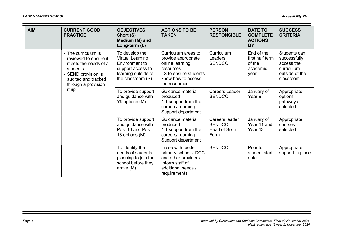| <b>AIM</b> | <b>CURRENT GOOD</b><br><b>PRACTICE</b>                                                                                                                         | <b>OBJECTIVES</b><br>Short (S)<br>Medium (M) and<br>Long-term (L)                                                              | <b>ACTIONS TO BE</b><br><b>TAKEN</b>                                                                                                       | <b>PERSON</b><br><b>RESPONSIBLE</b>                      | <b>DATE TO</b><br><b>COMPLETE</b><br><b>ACTIONS</b><br><b>BY</b> | <b>SUCCESS</b><br><b>CRITERIA</b>                                                       |
|------------|----------------------------------------------------------------------------------------------------------------------------------------------------------------|--------------------------------------------------------------------------------------------------------------------------------|--------------------------------------------------------------------------------------------------------------------------------------------|----------------------------------------------------------|------------------------------------------------------------------|-----------------------------------------------------------------------------------------|
|            | • The curriculum is<br>reviewed to ensure it<br>meets the needs of all<br>students<br>• SEND provision is<br>audited and tracked<br>through a provision<br>map | To develop the<br><b>Virtual Learning</b><br>Environment to<br>support access to<br>learning outside of<br>the classroom $(S)$ | Curriculum areas to<br>provide appropriate<br>online learning<br>resources<br>LS to ensure students<br>know how to access<br>the resources | Curriculum<br>Leaders<br><b>SENDCO</b>                   | End of the<br>first half term<br>of the<br>academic<br>year      | Students can<br>successfully<br>access the<br>curriculum<br>outside of the<br>classroom |
|            |                                                                                                                                                                | To provide support<br>and guidance with<br>Y9 options (M)                                                                      | Guidance material<br>produced<br>1:1 support from the<br>careers/Learning<br>Support department                                            | Careers Leader<br><b>SENDCO</b>                          | January of<br>Year 9                                             | Appropriate<br>options<br>pathways<br>selected                                          |
|            |                                                                                                                                                                | To provide support<br>and guidance with<br>Post 16 and Post<br>18 options (M)                                                  | Guidance material<br>produced<br>1:1 support from the<br>careers/Learning<br>Support department                                            | Careers leader<br><b>SENDCO</b><br>Head of Sixth<br>Form | January of<br>Year 11 and<br>Year 13                             | Appropriate<br>courses<br>selected                                                      |
|            |                                                                                                                                                                | To identify the<br>needs of students<br>planning to join the<br>school before they<br>arrive (M)                               | Liaise with feeder<br>primary schools, DCC<br>and other providers<br>Inform staff of<br>additional needs /<br>requirements                 | <b>SENDCO</b>                                            | Prior to<br>student start<br>date                                | Appropriate<br>support in place                                                         |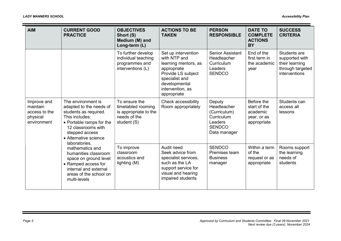Ξ

| <b>AIM</b>                                                                                                                                                                                                                                                                                                                                                                                                                                  | <b>CURRENT GOOD</b><br><b>PRACTICE</b>                   | <b>OBJECTIVES</b><br>Short (S)<br>Medium (M) and<br>Long-term (L)                                                                          | <b>ACTIONS TO BE</b><br><b>TAKEN</b>                                                                                                                                   | <b>PERSON</b><br><b>RESPONSIBLE</b>                                                             | <b>DATE TO</b><br><b>COMPLETE</b><br><b>ACTIONS</b><br><b>BY</b>     | <b>SUCCESS</b><br><b>CRITERIA</b>                                                     |
|---------------------------------------------------------------------------------------------------------------------------------------------------------------------------------------------------------------------------------------------------------------------------------------------------------------------------------------------------------------------------------------------------------------------------------------------|----------------------------------------------------------|--------------------------------------------------------------------------------------------------------------------------------------------|------------------------------------------------------------------------------------------------------------------------------------------------------------------------|-------------------------------------------------------------------------------------------------|----------------------------------------------------------------------|---------------------------------------------------------------------------------------|
|                                                                                                                                                                                                                                                                                                                                                                                                                                             |                                                          | To further develop<br>individual teaching<br>programmes and<br>interventions (L)                                                           | Set up intervention<br>with NTP and<br>learning mentors, as<br>appropriate<br>Provide LS subject<br>specialist and<br>developmental<br>intervention, as<br>appropriate | <b>Senior Assistant</b><br><b>Headteacher</b><br>Curriculum<br>Leaders<br><b>SENDCO</b>         | End of the<br>first term in<br>the academic<br>year                  | Students are<br>supported with<br>their learning<br>through targeted<br>interventions |
| The environment is<br>Improve and<br>adapted to the needs of<br>maintain<br>access to the<br>students as required.<br>This includes:<br>physical<br>environment<br>• Portable ramps for the<br>12 classrooms with<br>stepped access<br>• Alternative science<br>laboratories,<br>mathematics and<br>humanities classroom<br>space on ground level<br>• Ramped access for<br>internal and external<br>areas of the school on<br>multi-levels |                                                          | To ensure the<br>timetabled rooming<br>is appropriate to the<br>needs of the<br>student (S)                                                | Check accessibility<br>Room appropriately                                                                                                                              | Deputy<br>Headteacher<br>(Curriculum)<br>Curriculum<br>Leaders<br><b>SENDCO</b><br>Data manager | Before the<br>start of the<br>academic<br>year, or as<br>appropriate | Students can<br>access all<br>lessons                                                 |
|                                                                                                                                                                                                                                                                                                                                                                                                                                             | To improve<br>classroom<br>acoustics and<br>lighting (M) | Audit need<br>Seek advice from<br>specialist services,<br>such as the LA<br>support service for<br>visual and hearing<br>impaired students | <b>SENDCO</b><br>Premises team<br><b>Business</b><br>manager                                                                                                           | Within a term<br>of the<br>request or as<br>appropriate                                         | Rooms support<br>the learning<br>needs of<br>students                |                                                                                       |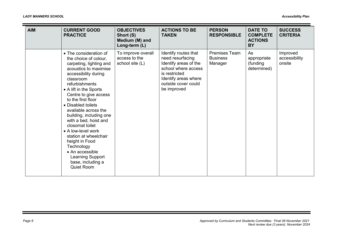| <b>AIM</b> | <b>CURRENT GOOD</b><br><b>PRACTICE</b>                                                                                                                                                                                                                                                                                                                                                                                                                                                                            | <b>OBJECTIVES</b><br>Short (S)<br>Medium (M) and<br>Long-term (L) | <b>ACTIONS TO BE</b><br><b>TAKEN</b>                                                                                                                                    | <b>PERSON</b><br><b>RESPONSIBLE</b>                | <b>DATE TO</b><br><b>COMPLETE</b><br><b>ACTIONS</b><br><b>BY</b> | <b>SUCCESS</b><br><b>CRITERIA</b>   |
|------------|-------------------------------------------------------------------------------------------------------------------------------------------------------------------------------------------------------------------------------------------------------------------------------------------------------------------------------------------------------------------------------------------------------------------------------------------------------------------------------------------------------------------|-------------------------------------------------------------------|-------------------------------------------------------------------------------------------------------------------------------------------------------------------------|----------------------------------------------------|------------------------------------------------------------------|-------------------------------------|
|            | • The consideration of<br>the choice of colour,<br>carpeting, lighting and<br>acoustics to maximise<br>accessibility during<br>classroom<br>refurbishments<br>• A lift in the Sports<br>Centre to give access<br>to the first floor<br>• Disabled toilets<br>available across the<br>building, including one<br>with a bed, hoist and<br>closomat toilet<br>• A low-level work<br>station at wheelchair<br>height in Food<br>Technology<br>• An accessible<br>Learning Support<br>base, including a<br>Quiet Room | To improve overall<br>access to the<br>school site (L)            | Identify routes that<br>need resurfacing<br>Identify areas of the<br>school where access<br>is restricted<br>Identify areas where<br>outside cover could<br>be improved | <b>Premises Team</b><br><b>Business</b><br>Manager | As<br>appropriate<br>(funding<br>determined)                     | Improved<br>accessibility<br>onsite |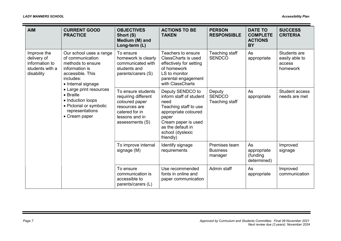Ξ

| <b>AIM</b>                                                                    | <b>CURRENT GOOD</b><br><b>PRACTICE</b>                                                                                                                                                                                                                                | <b>OBJECTIVES</b><br>Short (S)<br>Medium (M) and<br>Long-term (L)                                                                     | <b>ACTIONS TO BE</b><br><b>TAKEN</b>                                                                                                                                                       | <b>PERSON</b><br><b>RESPONSIBLE</b>         | <b>DATE TO</b><br><b>COMPLETE</b><br><b>ACTIONS</b><br><b>BY</b> | <b>SUCCESS</b><br><b>CRITERIA</b>                    |
|-------------------------------------------------------------------------------|-----------------------------------------------------------------------------------------------------------------------------------------------------------------------------------------------------------------------------------------------------------------------|---------------------------------------------------------------------------------------------------------------------------------------|--------------------------------------------------------------------------------------------------------------------------------------------------------------------------------------------|---------------------------------------------|------------------------------------------------------------------|------------------------------------------------------|
| Improve the<br>delivery of<br>information to<br>students with a<br>disability | Our school uses a range<br>of communication<br>methods to ensure<br>information is<br>accessible. This<br>includes:<br>• Internal signage<br>• Large print resources<br>• Braille<br>• Induction loops<br>• Pictorial or symbolic<br>representations<br>• Cream paper | To ensure<br>homework is clearly<br>communicated with<br>students and<br>parents/carers (S)                                           | Teachers to ensure<br><b>ClassCharts is used</b><br>effectively for setting<br>of homework<br>LS to monitor<br>parental engagement<br>with ClassCharts                                     | Teaching staff<br><b>SENDCO</b>             | As<br>appropriate                                                | Students are<br>easily able to<br>access<br>homework |
|                                                                               |                                                                                                                                                                                                                                                                       | To ensure students<br>requiring different<br>coloured paper<br>resources are<br>catered for in<br>lessons and in<br>assessments $(S)$ | Deputy SENDCO to<br>inform staff of student<br>need<br>Teaching staff to use<br>appropriate coloured<br>paper<br>Cream paper is used<br>as the default in<br>school (dyslexic<br>friendly) | Deputy<br><b>SENDCO</b><br>Teaching staff   | As<br>appropriate                                                | <b>Student access</b><br>needs are met               |
|                                                                               |                                                                                                                                                                                                                                                                       | To improve internal<br>signage (M)                                                                                                    | Identify signage<br>requirements                                                                                                                                                           | Premises team<br><b>Business</b><br>manager | As<br>appropriate<br>(funding<br>determined)                     | Improved<br>signage                                  |
|                                                                               |                                                                                                                                                                                                                                                                       | To ensure<br>communication is<br>accessible to<br>parents/carers (L)                                                                  | Use recommended<br>fonts in online and<br>paper communication                                                                                                                              | Admin staff                                 | As<br>appropriate                                                | Improved<br>communication                            |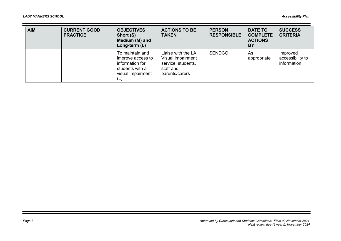Ξ

| <b>AIM</b> | <b>CURRENT GOOD</b><br><b>PRACTICE</b> | <b>OBJECTIVES</b><br>Short (S)<br>Medium (M) and<br>Long-term (L)                                      | <b>ACTIONS TO BE</b><br><b>TAKEN</b>                                                         | <b>PERSON</b><br><b>RESPONSIBLE</b> | <b>DATE TO</b><br><b>COMPLETE</b><br><b>ACTIONS</b><br>BY | <b>SUCCESS</b><br><b>CRITERIA</b>           |
|------------|----------------------------------------|--------------------------------------------------------------------------------------------------------|----------------------------------------------------------------------------------------------|-------------------------------------|-----------------------------------------------------------|---------------------------------------------|
|            |                                        | To maintain and<br>improve access to<br>information for<br>students with a<br>visual impairment<br>(L) | Liaise with the LA<br>Visual impairment<br>service, students,<br>staff and<br>parents/carers | <b>SENDCO</b>                       | As<br>appropriate                                         | Improved<br>accessibility to<br>information |